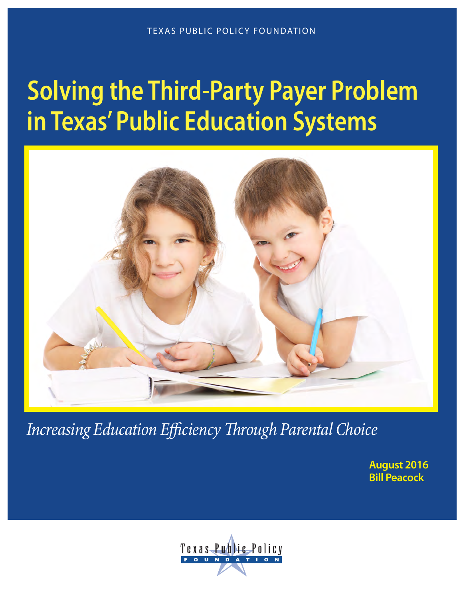# **Solving the Third-Party Payer Problem in Texas' Public Education Systems**



*Increasing Education Efficiency Through Parental Choice*

**August 2016 Bill Peacock**

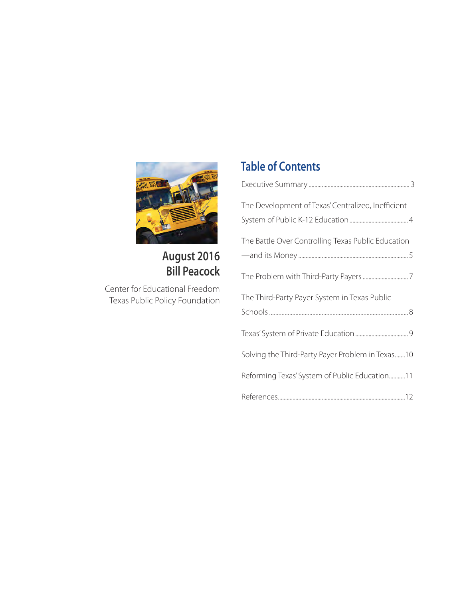

## **August 2016 Bill Peacock**

Center for Educational Freedom Texas Public Policy Foundation

## **Table of Contents**

| The Development of Texas' Centralized, Inefficient |
|----------------------------------------------------|
|                                                    |
| The Battle Over Controlling Texas Public Education |
|                                                    |
|                                                    |
| The Third-Party Payer System in Texas Public       |
|                                                    |
|                                                    |
| Solving the Third-Party Payer Problem in Texas10   |
| Reforming Texas' System of Public Education11      |
|                                                    |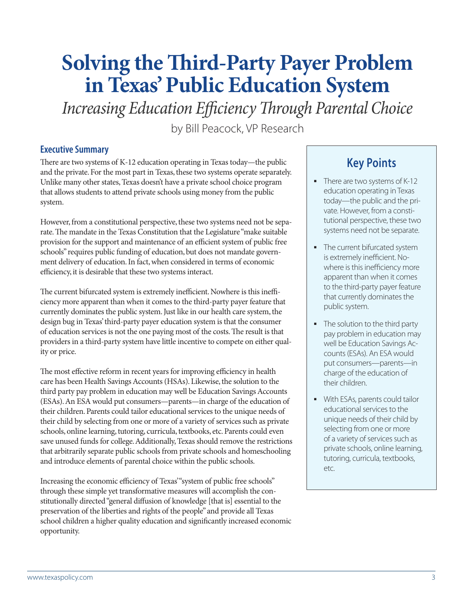## **Solving the Third-Party Payer Problem in Texas' Public Education System**

*Increasing Education Efficiency Through Parental Choice*

by Bill Peacock, VP Research

#### **Executive Summary**

There are two systems of K-12 education operating in Texas today—the public and the private. For the most part in Texas, these two systems operate separately. Unlike many other states, Texas doesn't have a private school choice program that allows students to attend private schools using money from the public system.

However, from a constitutional perspective, these two systems need not be separate. The mandate in the Texas Constitution that the Legislature "make suitable provision for the support and maintenance of an efficient system of public free schools" requires public funding of education, but does not mandate government delivery of education. In fact, when considered in terms of economic efficiency, it is desirable that these two systems interact.

The current bifurcated system is extremely inefficient. Nowhere is this inefficiency more apparent than when it comes to the third-party payer feature that currently dominates the public system. Just like in our health care system, the design bug in Texas' third-party payer education system is that the consumer of education services is not the one paying most of the costs. The result is that providers in a third-party system have little incentive to compete on either quality or price.

The most effective reform in recent years for improving efficiency in health care has been Health Savings Accounts (HSAs). Likewise, the solution to the third party pay problem in education may well be Education Savings Accounts (ESAs). An ESA would put consumers—parents—in charge of the education of their children. Parents could tailor educational services to the unique needs of their child by selecting from one or more of a variety of services such as private schools, online learning, tutoring, curricula, textbooks, etc. Parents could even save unused funds for college. Additionally, Texas should remove the restrictions that arbitrarily separate public schools from private schools and homeschooling and introduce elements of parental choice within the public schools.

Increasing the economic efficiency of Texas' "system of public free schools" through these simple yet transformative measures will accomplish the constitutionally directed "general diffusion of knowledge [that is] essential to the preservation of the liberties and rights of the people" and provide all Texas school children a higher quality education and significantly increased economic opportunity.

## **Key Points**

- There are two systems of K-12 education operating in Texas today—the public and the private. However, from a constitutional perspective, these two systems need not be separate.
- The current bifurcated system is extremely inefficient. Nowhere is this inefficiency more apparent than when it comes to the third-party payer feature that currently dominates the public system.
- The solution to the third party pay problem in education may well be Education Savings Accounts (ESAs). An ESA would put consumers—parents—in charge of the education of their children.
- **With ESAs, parents could tailor** educational services to the unique needs of their child by selecting from one or more of a variety of services such as private schools, online learning, tutoring, curricula, textbooks, etc.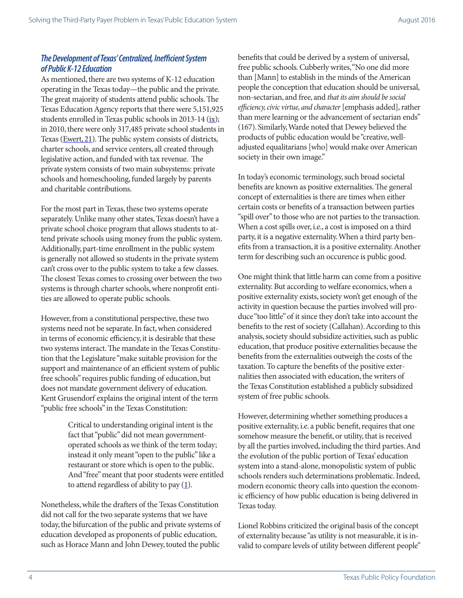#### *The Development of Texas' Centralized, Inefficient System of Public K-12 Education*

As mentioned, there are two systems of K-12 education operating in the Texas today—the public and the private. The great majority of students attend public schools. The Texas Education Agency reports that there were 5,151,925 students enrolled in Texas public schools in 2013-14 ([ix](http://tea.texas.gov/acctres/Enroll_2013-14.pdf)); in 2010, there were only 317,485 private school students in Texas [\(Ewert, 21\)](http://www.census.gov/hhes/school/files/ewert_private_school_enrollment.pdf). The public system consists of districts, charter schools, and service centers, all created through legislative action, and funded with tax revenue. The private system consists of two main subsystems: private schools and homeschooling, funded largely by parents and charitable contributions.

For the most part in Texas, these two systems operate separately. Unlike many other states, Texas doesn't have a private school choice program that allows students to attend private schools using money from the public system. Additionally, part-time enrollment in the public system is generally not allowed so students in the private system can't cross over to the public system to take a few classes. The closest Texas comes to crossing over between the two systems is through charter schools, where nonprofit entities are allowed to operate public schools.

However, from a constitutional perspective, these two systems need not be separate. In fact, when considered in terms of economic efficiency, it is desirable that these two systems interact. The mandate in the Texas Constitution that the Legislature "make suitable provision for the support and maintenance of an efficient system of public free schools" requires public funding of education, but does not mandate government delivery of education. Kent Grusendorf explains the original intent of the term "public free schools" in the Texas Constitution:

> Critical to understanding original intent is the fact that "public" did not mean governmentoperated schools as we think of the term today; instead it only meant "open to the public" like a restaurant or store which is open to the public. And "free" meant that poor students were entitled to attend regardless of ability to pay  $(1)$  $(1)$ .

Nonetheless, while the drafters of the Texas Constitution did not call for the two separate systems that we have today, the bifurcation of the public and private systems of education developed as proponents of public education, such as Horace Mann and John Dewey, touted the public

benefits that could be derived by a system of universal, free public schools. Cubberly writes, "No one did more than [Mann] to establish in the minds of the American people the conception that education should be universal, non-sectarian, and free, and *that its aim should be social efficiency, civic virtue, and character* [emphasis added], rather than mere learning or the advancement of sectarian ends" (167). Similarly, Warde noted that Dewey believed the products of public education would be "creative, welladjusted equalitarians [who] would make over American society in their own image."

In today's economic terminology, such broad societal benefits are known as positive externalities. The general concept of externalities is there are times when either certain costs or benefits of a transaction between parties "spill over" to those who are not parties to the transaction. When a cost spills over, i.e., a cost is imposed on a third party, it is a negative externality. When a third party benefits from a transaction, it is a positive externality. Another term for describing such an occurence is public good.

One might think that little harm can come from a positive externality. But according to welfare economics, when a positive externality exists, society won't get enough of the activity in question because the parties involved will produce "too little" of it since they don't take into account the benefits to the rest of society (Callahan). According to this analysis, society should subsidize activities, such as public education, that produce positive externalities because the benefits from the externalities outweigh the costs of the taxation. To capture the benefits of the positive externalities then associated with education, the writers of the Texas Constitution established a publicly subsidized system of free public schools.

However, determining whether something produces a positive externality, i.e. a public benefit, requires that one somehow measure the benefit, or utility, that is received by all the parties involved, including the third parties. And the evolution of the public portion of Texas' education system into a stand-alone, monopolistic system of public schools renders such determinations problematic. Indeed, modern economic theory calls into question the economic efficiency of how public education is being delivered in Texas today.

Lionel Robbins criticized the original basis of the concept of externality because "as utility is not measurable, it is invalid to compare levels of utility between different people"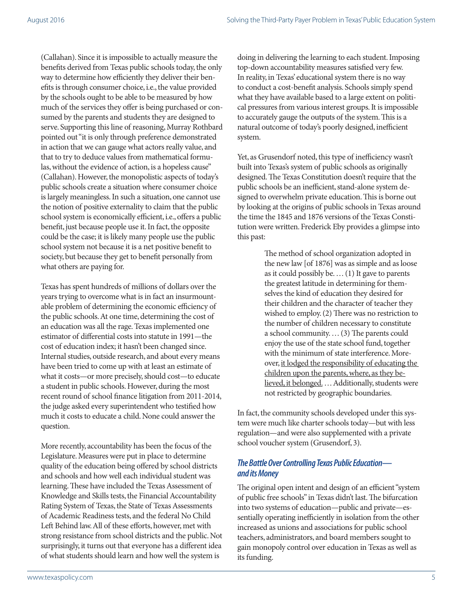(Callahan). Since it is impossible to actually measure the benefits derived from Texas public schools today, the only way to determine how efficiently they deliver their benefits is through consumer choice, i.e., the value provided by the schools ought to be able to be measured by how much of the services they offer is being purchased or consumed by the parents and students they are designed to serve. Supporting this line of reasoning, Murray Rothbard pointed out "it is only through preference demonstrated in action that we can gauge what actors really value, and that to try to deduce values from mathematical formulas, without the evidence of action, is a hopeless cause" (Callahan). However, the monopolistic aspects of today's public schools create a situation where consumer choice is largely meaningless. In such a situation, one cannot use the notion of positive externality to claim that the public school system is economically efficient, i.e., offers a public benefit, just because people use it. In fact, the opposite could be the case; it is likely many people use the public school system not because it is a net positive benefit to society, but because they get to benefit personally from what others are paying for.

Texas has spent hundreds of millions of dollars over the years trying to overcome what is in fact an insurmountable problem of determining the economic efficiency of the public schools. At one time, determining the cost of an education was all the rage. Texas implemented one estimator of differential costs into statute in 1991—the cost of education index; it hasn't been changed since. Internal studies, outside research, and about every means have been tried to come up with at least an estimate of what it costs—or more precisely, should cost—to educate a student in public schools. However, during the most recent round of school finance litigation from 2011-2014, the judge asked every superintendent who testified how much it costs to educate a child. None could answer the question.

More recently, accountability has been the focus of the Legislature. Measures were put in place to determine quality of the education being offered by school districts and schools and how well each individual student was learning. These have included the Texas Assessment of Knowledge and Skills tests, the Financial Accountability Rating System of Texas, the State of Texas Assessments of Academic Readiness tests, and the federal No Child Left Behind law. All of these efforts, however, met with strong resistance from school districts and the public. Not surprisingly, it turns out that everyone has a different idea of what students should learn and how well the system is

doing in delivering the learning to each student. Imposing top-down accountability measures satisfied very few. In reality, in Texas' educational system there is no way to conduct a cost-benefit analysis. Schools simply spend what they have available based to a large extent on political pressures from various interest groups. It is impossible to accurately gauge the outputs of the system. This is a natural outcome of today's poorly designed, inefficient system.

Yet, as Grusendorf noted, this type of inefficiency wasn't built into Texas's system of public schools as originally designed. The Texas Constitution doesn't require that the public schools be an inefficient, stand-alone system designed to overwhelm private education. This is borne out by looking at the origins of public schools in Texas around the time the 1845 and 1876 versions of the Texas Constitution were written. Frederick Eby provides a glimpse into this past:

> The method of school organization adopted in the new law [of 1876] was as simple and as loose as it could possibly be. … (1) It gave to parents the greatest latitude in determining for themselves the kind of education they desired for their children and the character of teacher they wished to employ. (2) There was no restriction to the number of children necessary to constitute a school community. … (3) The parents could enjoy the use of the state school fund, together with the minimum of state interference. Moreover, it lodged the responsibility of educating the children upon the parents, where, as they believed, it belonged. … Additionally, students were not restricted by geographic boundaries.

In fact, the community schools developed under this system were much like charter schools today—but with less regulation—and were also supplemented with a private school voucher system (Grusendorf, 3).

#### *The Battle Over Controlling Texas Public Education and its Money*

The original open intent and design of an efficient "system of public free schools" in Texas didn't last. The bifurcation into two systems of education—public and private—essentially operating inefficiently in isolation from the other increased as unions and associations for public school teachers, administrators, and board members sought to gain monopoly control over education in Texas as well as its funding.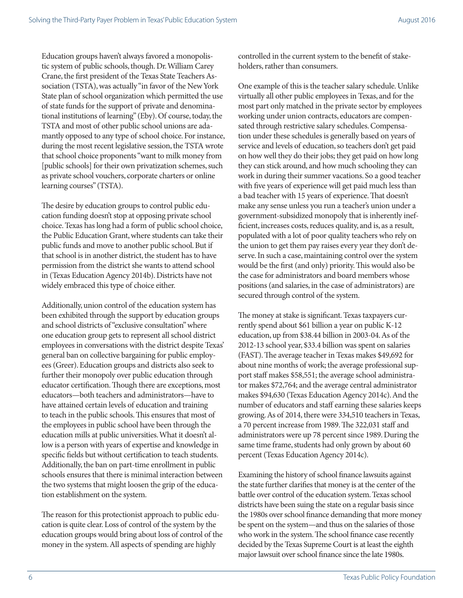Education groups haven't always favored a monopolistic system of public schools, though. Dr. William Carey Crane, the first president of the Texas State Teachers Association (TSTA), was actually "in favor of the New York State plan of school organization which permitted the use of state funds for the support of private and denominational institutions of learning" (Eby). Of course, today, the TSTA and most of other public school unions are adamantly opposed to any type of school choice. For instance, during the most recent legislative session, the TSTA wrote that school choice proponents "want to milk money from [public schools] for their own privatization schemes, such as private school vouchers, corporate charters or online learning courses" (TSTA).

The desire by education groups to control public education funding doesn't stop at opposing private school choice. Texas has long had a form of public school choice, the Public Education Grant, where students can take their public funds and move to another public school. But if that school is in another district, the student has to have permission from the district she wants to attend school in (Texas Education Agency 2014b). Districts have not widely embraced this type of choice either.

Additionally, union control of the education system has been exhibited through the support by education groups and school districts of "exclusive consultation" where one education group gets to represent all school district employees in conversations with the district despite Texas' general ban on collective bargaining for public employees (Greer). Education groups and districts also seek to further their monopoly over public education through educator certification. Though there are exceptions, most educators—both teachers and administrators—have to have attained certain levels of education and training to teach in the public schools. This ensures that most of the employees in public school have been through the education mills at public universities. What it doesn't allow is a person with years of expertise and knowledge in specific fields but without certification to teach students. Additionally, the ban on part-time enrollment in public schools ensures that there is minimal interaction between the two systems that might loosen the grip of the education establishment on the system.

The reason for this protectionist approach to public education is quite clear. Loss of control of the system by the education groups would bring about loss of control of the money in the system. All aspects of spending are highly

controlled in the current system to the benefit of stakeholders, rather than consumers.

One example of this is the teacher salary schedule. Unlike virtually all other public employees in Texas, and for the most part only matched in the private sector by employees working under union contracts, educators are compensated through restrictive salary schedules. Compensation under these schedules is generally based on years of service and levels of education, so teachers don't get paid on how well they do their jobs; they get paid on how long they can stick around, and how much schooling they can work in during their summer vacations. So a good teacher with five years of experience will get paid much less than a bad teacher with 15 years of experience. That doesn't make any sense unless you run a teacher's union under a government-subsidized monopoly that is inherently inefficient, increases costs, reduces quality, and is, as a result, populated with a lot of poor quality teachers who rely on the union to get them pay raises every year they don't deserve. In such a case, maintaining control over the system would be the first (and only) priority. This would also be the case for administrators and board members whose positions (and salaries, in the case of administrators) are secured through control of the system.

The money at stake is significant. Texas taxpayers currently spend about \$61 billion a year on public K-12 education, up from \$38.44 billion in 2003-04. As of the 2012-13 school year, \$33.4 billion was spent on salaries (FAST). The average teacher in Texas makes \$49,692 for about nine months of work; the average professional support staff makes \$58,551; the average school administrator makes \$72,764; and the average central administrator makes \$94,630 (Texas Education Agency 2014c). And the number of educators and staff earning these salaries keeps growing. As of 2014, there were 334,510 teachers in Texas, a 70 percent increase from 1989. The 322,031 staff and administrators were up 78 percent since 1989. During the same time frame, students had only grown by about 60 percent (Texas Education Agency 2014c).

Examining the history of school finance lawsuits against the state further clarifies that money is at the center of the battle over control of the education system. Texas school districts have been suing the state on a regular basis since the 1980s over school finance demanding that more money be spent on the system—and thus on the salaries of those who work in the system. The school finance case recently decided by the Texas Supreme Court is at least the eighth major lawsuit over school finance since the late 1980s.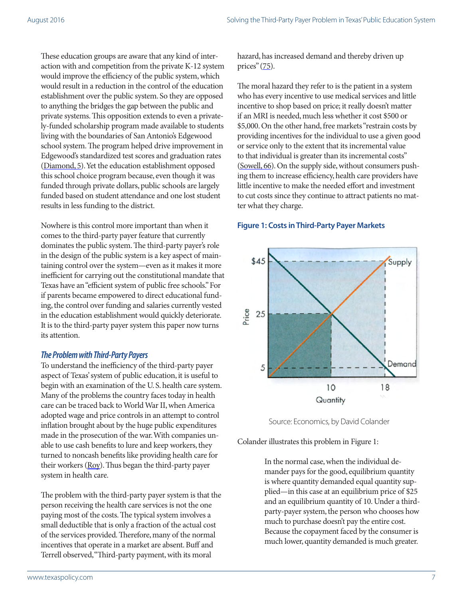These education groups are aware that any kind of interaction with and competition from the private K-12 system would improve the efficiency of the public system, which would result in a reduction in the control of the education establishment over the public system. So they are opposed to anything the bridges the gap between the public and private systems. This opposition extends to even a privately-funded scholarship program made available to students living with the boundaries of San Antonio's Edgewood school system. The program helped drive improvement in Edgewood's standardized test scores and graduation rates ([Diamond, 5](http://www.texaspolicy.com/library/doclib/2007-03-RR03-education-diamond.pdf)). Yet the education establishment opposed this school choice program because, even though it was funded through private dollars, public schools are largely funded based on student attendance and one lost student results in less funding to the district.

Nowhere is this control more important than when it comes to the third-party payer feature that currently dominates the public system. The third-party payer's role in the design of the public system is a key aspect of maintaining control over the system—even as it makes it more inefficient for carrying out the constitutional mandate that Texas have an "efficient system of public free schools." For if parents became empowered to direct educational funding, the control over funding and salaries currently vested in the education establishment would quickly deteriorate. It is to the third-party payer system this paper now turns its attention.

#### *The Problem with Third-Party Payers*

To understand the inefficiency of the third-party payer aspect of Texas' system of public education, it is useful to begin with an examination of the U. S. health care system. Many of the problems the country faces today in health care can be traced back to World War II, when America adopted wage and price controls in an attempt to control inflation brought about by the huge public expenditures made in the prosecution of the war. With companies unable to use cash benefits to lure and keep workers, they turned to noncash benefits like providing health care for their workers (Roy). Thus began the third-party payer system in health care.

The problem with the third-party payer system is that the person receiving the health care services is not the one paying most of the costs. The typical system involves a small deductible that is only a fraction of the actual cost of the services provided. Therefore, many of the normal incentives that operate in a market are absent. Buff and Terrell observed, "Third-party payment, with its moral

hazard, has increased demand and thereby driven up prices" ([75\)](https://www.google.com/url?sa=t&rct=j&q=&esrc=s&source=web&cd=2&cad=rja&uact=8&ved=0CCUQFjABahUKEwjs-478-MvHAhWCJj4KHTEgD4c&url=http%3A%2F%2Fwww.jpands.org%2Fvol19no3%2Fbuff.pdf&ei=ZmrgVeywA4LN-AGxwLy4CA&usg=AFQjCNG1Y4dt9MMqzE2q4IaaHnRem6IRDw&sig2=XUMVYoCQ_SGT976tte1mgw).

The moral hazard they refer to is the patient in a system who has every incentive to use medical services and little incentive to shop based on price; it really doesn't matter if an MRI is needed, much less whether it cost \$500 or \$5,000. On the other hand, free markets "restrain costs by providing incentives for the individual to use a given good or service only to the extent that its incremental value to that individual is greater than its incremental costs" ([Sowell, 66\)](http://www.amazon.com/Applied-Economics-Thinking-Beyond-Stage/dp/0465081436). On the supply side, without consumers pushing them to increase efficiency, health care providers have little incentive to make the needed effort and investment to cut costs since they continue to attract patients no matter what they charge.

#### **Figure 1: Costs in Third-Party Payer Markets**



Source: Economics, by David Colander

Colander illustrates this problem in Figure 1:

In the normal case, when the individual demander pays for the good, equilibrium quantity is where quantity demanded equal quantity supplied—in this case at an equilibrium price of \$25 and an equilibrium quantity of 10. Under a thirdparty-payer system, the person who chooses how much to purchase doesn't pay the entire cost. Because the copayment faced by the consumer is much lower, quantity demanded is much greater.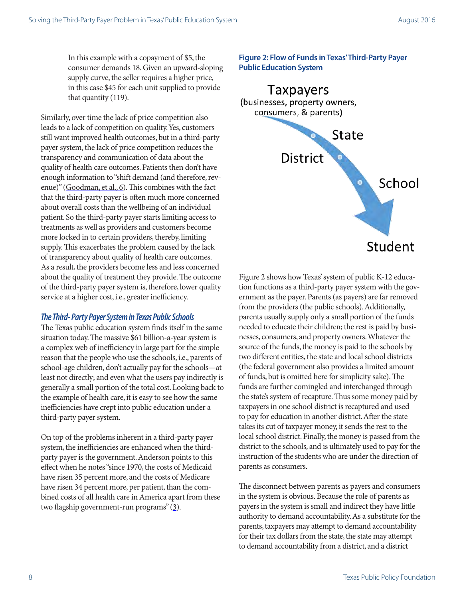In this example with a copayment of \$5, the consumer demands 18. Given an upward-sloping supply curve, the seller requires a higher price, in this case \$45 for each unit supplied to provide that quantity  $(119)$  $(119)$ .

Similarly, over time the lack of price competition also leads to a lack of competition on quality. Yes, customers still want improved health outcomes, but in a third-party payer system, the lack of price competition reduces the transparency and communication of data about the quality of health care outcomes. Patients then don't have enough information to "shift demand (and therefore, revenue)" [\(Goodman, et al., 6\)](http://www.ncpa.org/pdfs/The-Economics-of-Health-Care-Quality.pdf). This combines with the fact that the third-party payer is often much more concerned about overall costs than the wellbeing of an individual patient. So the third-party payer starts limiting access to treatments as well as providers and customers become more locked in to certain providers, thereby, limiting supply. This exacerbates the problem caused by the lack of transparency about quality of health care outcomes. As a result, the providers become less and less concerned about the quality of treatment they provide. The outcome of the third-party payer system is, therefore, lower quality service at a higher cost, i.e., greater inefficiency.

#### *The Third- Party Payer System in Texas Public Schools*

The Texas public education system finds itself in the same situation today. The massive \$61 billion-a-year system is a complex web of inefficiency in large part for the simple reason that the people who use the schools, i.e., parents of school-age children, don't actually pay for the schools—at least not directly; and even what the users pay indirectly is generally a small portion of the total cost. Looking back to the example of health care, it is easy to see how the same inefficiencies have crept into public education under a third-party payer system.

On top of the problems inherent in a third-party payer system, the inefficiencies are enhanced when the thirdparty payer is the government. Anderson points to this effect when he notes "since 1970, the costs of Medicaid have risen 35 percent more, and the costs of Medicare have risen 34 percent more, per patient, than the combined costs of all health care in America apart from these two flagship government-run programs" [\(3\)](http://amcp.org/WorkArea/DownloadAsset.aspx?id=11322).

**Figure 2: Flow of Funds in Texas' Third-Party Payer Public Education System**



Figure 2 shows how Texas' system of public K-12 education functions as a third-party payer system with the government as the payer. Parents (as payers) are far removed from the providers (the public schools). Additionally, parents usually supply only a small portion of the funds needed to educate their children; the rest is paid by businesses, consumers, and property owners. Whatever the source of the funds, the money is paid to the schools by two different entities, the state and local school districts (the federal government also provides a limited amount of funds, but is omitted here for simplicity sake). The funds are further comingled and interchanged through the state's system of recapture. Thus some money paid by taxpayers in one school district is recaptured and used to pay for education in another district. After the state takes its cut of taxpayer money, it sends the rest to the local school district. Finally, the money is passed from the district to the schools, and is ultimately used to pay for the instruction of the students who are under the direction of parents as consumers.

The disconnect between parents as payers and consumers in the system is obvious. Because the role of parents as payers in the system is small and indirect they have little authority to demand accountability. As a substitute for the parents, taxpayers may attempt to demand accountability for their tax dollars from the state, the state may attempt to demand accountability from a district, and a district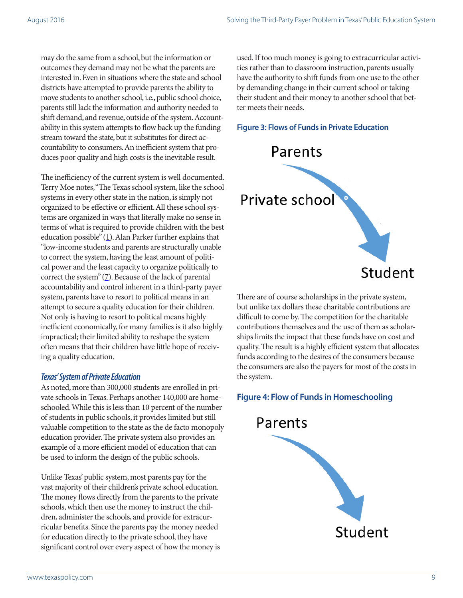may do the same from a school, but the information or outcomes they demand may not be what the parents are interested in. Even in situations where the state and school districts have attempted to provide parents the ability to move students to another school, i.e., public school choice, parents still lack the information and authority needed to shift demand, and revenue, outside of the system. Accountability in this system attempts to flow back up the funding stream toward the state, but it substitutes for direct accountability to consumers. An inefficient system that produces poor quality and high costs is the inevitable result.

The inefficiency of the current system is well documented. Terry Moe notes, "The Texas school system, like the school systems in every other state in the nation, is simply not organized to be effective or efficient. All these school systems are organized in ways that literally make no sense in terms of what is required to provide children with the best education possible"  $(1)$  $(1)$ . Alan Parker further explains that "low-income students and parents are structurally unable to correct the system, having the least amount of political power and the least capacity to organize politically to correct the system"  $(7)$  $(7)$ . Because of the lack of parental accountability and control inherent in a third-party payer system, parents have to resort to political means in an attempt to secure a quality education for their children. Not only is having to resort to political means highly inefficient economically, for many families is it also highly impractical; their limited ability to reshape the system often means that their children have little hope of receiving a quality education.

#### *Texas' System of Private Education*

As noted, more than 300,000 students are enrolled in private schools in Texas. Perhaps another 140,000 are homeschooled. While this is less than 10 percent of the number of students in public schools, it provides limited but still valuable competition to the state as the de facto monopoly education provider. The private system also provides an example of a more efficient model of education that can be used to inform the design of the public schools.

Unlike Texas' public system, most parents pay for the vast majority of their children's private school education. The money flows directly from the parents to the private schools, which then use the money to instruct the children, administer the schools, and provide for extracurricular benefits. Since the parents pay the money needed for education directly to the private school, they have significant control over every aspect of how the money is

used. If too much money is going to extracurricular activities rather than to classroom instruction, parents usually have the authority to shift funds from one use to the other by demanding change in their current school or taking their student and their money to another school that better meets their needs.

#### **Figure 3: Flows of Funds in Private Education**



There are of course scholarships in the private system, but unlike tax dollars these charitable contributions are difficult to come by. The competition for the charitable contributions themselves and the use of them as scholarships limits the impact that these funds have on cost and quality. The result is a highly efficient system that allocates funds according to the desires of the consumers because the consumers are also the payers for most of the costs in the system.

#### **Figure 4: Flow of Funds in Homeschooling**

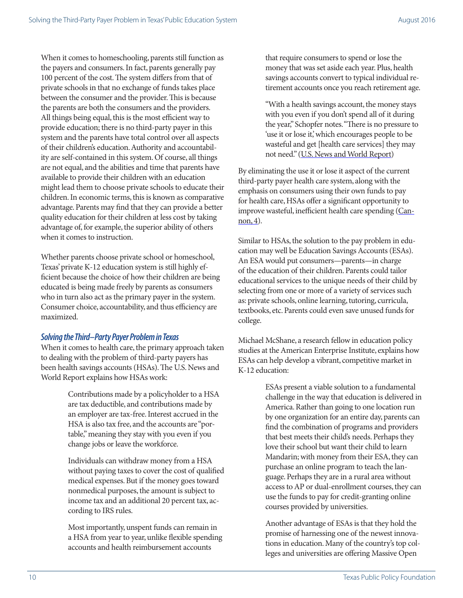When it comes to homeschooling, parents still function as the payers and consumers. In fact, parents generally pay 100 percent of the cost. The system differs from that of private schools in that no exchange of funds takes place between the consumer and the provider. This is because the parents are both the consumers and the providers. All things being equal, this is the most efficient way to provide education; there is no third-party payer in this system and the parents have total control over all aspects of their children's education. Authority and accountability are self-contained in this system. Of course, all things are not equal, and the abilities and time that parents have available to provide their children with an education might lead them to choose private schools to educate their children. In economic terms, this is known as comparative advantage. Parents may find that they can provide a better quality education for their children at less cost by taking advantage of, for example, the superior ability of others when it comes to instruction.

Whether parents choose private school or homeschool, Texas' private K-12 education system is still highly efficient because the choice of how their children are being educated is being made freely by parents as consumers who in turn also act as the primary payer in the system. Consumer choice, accountability, and thus efficiency are maximized.

#### *Solving the Third–Party Payer Problem in Texas*

When it comes to health care, the primary approach taken to dealing with the problem of third-party payers has been health savings accounts (HSAs). The U.S. News and World Report explains how HSAs work:

> Contributions made by a policyholder to a HSA are tax deductible, and contributions made by an employer are tax-free. Interest accrued in the HSA is also tax free, and the accounts are "portable," meaning they stay with you even if you change jobs or leave the workforce.

Individuals can withdraw money from a HSA without paying taxes to cover the cost of qualified medical expenses. But if the money goes toward nonmedical purposes, the amount is subject to income tax and an additional 20 percent tax, according to IRS rules.

Most importantly, unspent funds can remain in a HSA from year to year, unlike flexible spending accounts and health reimbursement accounts

that require consumers to spend or lose the money that was set aside each year. Plus, health savings accounts convert to typical individual retirement accounts once you reach retirement age.

"With a health savings account, the money stays with you even if you don't spend all of it during the year," Schopfer notes. "There is no pressure to 'use it or lose it,' which encourages people to be wasteful and get [health care services] they may not need." [\(U.S. News and World Report](http://health.usnews.com/health-news/health-insurance/articles/2014/10/23/the-benefits-of-health-savings-accounts))

By eliminating the use it or lose it aspect of the current third-party payer health care system, along with the emphasis on consumers using their own funds to pay for health care, HSAs offer a significant opportunity to improve wasteful, inefficient health care spending [\(Can](http://www.cato.org/articles/large-health-savings-accounts-step-toward-tax-neutrality-health-care) $non, 4$ ).

Similar to HSAs, the solution to the pay problem in education may well be Education Savings Accounts (ESAs). An ESA would put consumers—parents—in charge of the education of their children. Parents could tailor educational services to the unique needs of their child by selecting from one or more of a variety of services such as: private schools, online learning, tutoring, curricula, textbooks, etc. Parents could even save unused funds for college.

Michael McShane, a research fellow in education policy studies at the American Enterprise Institute, explains how ESAs can help develop a vibrant, competitive market in K-12 education:

> ESAs present a viable solution to a fundamental challenge in the way that education is delivered in America. Rather than going to one location run by one organization for an entire day, parents can find the combination of programs and providers that best meets their child's needs. Perhaps they love their school but want their child to learn Mandarin; with money from their ESA, they can purchase an online program to teach the language. Perhaps they are in a rural area without access to AP or dual-enrollment courses, they can use the funds to pay for credit-granting online courses provided by universities.

Another advantage of ESAs is that they hold the promise of harnessing one of the newest innovations in education. Many of the country's top colleges and universities are offering Massive Open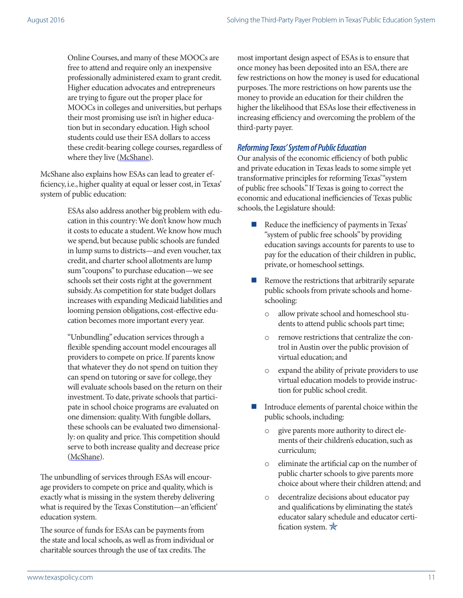Online Courses, and many of these MOOCs are free to attend and require only an inexpensive professionally administered exam to grant credit. Higher education advocates and entrepreneurs are trying to figure out the proper place for MOOCs in colleges and universities, but perhaps their most promising use isn't in higher education but in secondary education. High school students could use their ESA dollars to access these credit-bearing college courses, regardless of where they live [\(McShane\)](http://www.nationalaffairs.com/publications/detail/helping-school-choice-work).

McShane also explains how ESAs can lead to greater efficiency, i.e., higher quality at equal or lesser cost, in Texas' system of public education:

> ESAs also address another big problem with education in this country: We don't know how much it costs to educate a student. We know how much we spend, but because public schools are funded in lump sums to districts—and even voucher, tax credit, and charter school allotments are lump sum "coupons" to purchase education—we see schools set their costs right at the government subsidy. As competition for state budget dollars increases with expanding Medicaid liabilities and looming pension obligations, cost-effective education becomes more important every year.

> "Unbundling" education services through a flexible spending account model encourages all providers to compete on price. If parents know that whatever they do not spend on tuition they can spend on tutoring or save for college, they will evaluate schools based on the return on their investment. To date, private schools that participate in school choice programs are evaluated on one dimension: quality. With fungible dollars, these schools can be evaluated two dimensionally: on quality and price. This competition should serve to both increase quality and decrease price [\(McShane\)](http://www.nationalaffairs.com/publications/detail/helping-school-choice-work).

The unbundling of services through ESAs will encourage providers to compete on price and quality, which is exactly what is missing in the system thereby delivering what is required by the Texas Constitution—an 'efficient' education system.

The source of funds for ESAs can be payments from the state and local schools, as well as from individual or charitable sources through the use of tax credits. The

most important design aspect of ESAs is to ensure that once money has been deposited into an ESA, there are few restrictions on how the money is used for educational purposes. The more restrictions on how parents use the money to provide an education for their children the higher the likelihood that ESAs lose their effectiveness in increasing efficiency and overcoming the problem of the third-party payer.

#### *Reforming Texas' System of Public Education*

Our analysis of the economic efficiency of both public and private education in Texas leads to some simple yet transformative principles for reforming Texas' "system of public free schools." If Texas is going to correct the economic and educational inefficiencies of Texas public schools, the Legislature should:

- Reduce the inefficiency of payments in Texas' "system of public free schools" by providing education savings accounts for parents to use to pay for the education of their children in public, private, or homeschool settings.
- Remove the restrictions that arbitrarily separate public schools from private schools and homeschooling:
	- o allow private school and homeschool students to attend public schools part time;
	- o remove restrictions that centralize the control in Austin over the public provision of virtual education; and
	- o expand the ability of private providers to use virtual education models to provide instruction for public school credit.
- Introduce elements of parental choice within the public schools, including:
	- o give parents more authority to direct elements of their children's education, such as curriculum;
	- eliminate the artificial cap on the number of public charter schools to give parents more choice about where their children attend; and
	- o decentralize decisions about educator pay and qualifications by eliminating the state's educator salary schedule and educator certification system.  $\mathbb{\hat{X}}$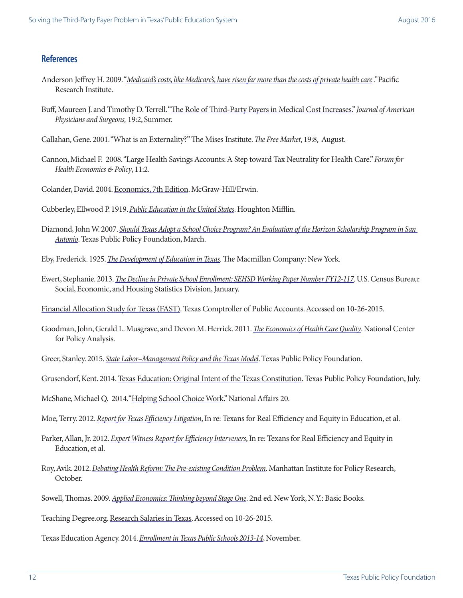#### **References**

- Anderson Jeffrey H. 2009. "*[Medicaid's costs, like Medicare's, have risen far more than the costs of private health care](http://amcp.org/WorkArea/DownloadAsset.aspx?id=11322) ."* Pacific Research Institute.
- Buff, Maureen J. and Timothy D. Terrell. ["The Role of Third-Party Payers in Medical Cost Increases.](https://www.google.com/url?sa=t&rct=j&q=&esrc=s&source=web&cd=2&cad=rja&uact=8&ved=0CCUQFjABahUKEwjs-478-MvHAhWCJj4KHTEgD4c&url=http%3A%2F%2Fwww.jpands.org%2Fvol19no3%2Fbuff.pdf&ei=ZmrgVeywA4LN-AGxwLy4CA&usg=AFQjCNG1Y4dt9MMqzE2q4IaaHnRem6IRDw&sig2=XUMVYoCQ_SGT976tte1mgw)" *Journal of American Physicians and Surgeons,* 19:2, Summer.
- Callahan, Gene. 2001. "What is an Externality?" The Mises Institute. *The Free Market*, 19:8, August.
- Cannon, Michael F. 2008. "Large Health Savings Accounts: A Step toward Tax Neutrality for Health Care." *Forum for Health Economics & Policy*, 11:2.
- Colander, David. 2004. [Economics, 7th Edition.](http://www.amazon.com/gp/product/B008BWXI30/ref=as_li_tl?ie=UTF8&camp=1789&creative=390957&creativeASIN=B008BWXI30&linkCode=as2&tag=davidjohnmarotta&linkId=DSLEMYPOHMLJHOQC) McGraw-Hill/Erwin.
- Cubberley, Ellwood P. 1919. *[Public Education in the United States](https://archive.org/stream/publiceducationi032029mbp/publiceducationi032029mbp_djvu.txt)*. Houghton Mifflin.
- Diamond, John W. 2007. *[Should Texas Adopt a School Choice Program? An Evaluation of the Horizon Scholarship Program in San](http://www.texaspolicy.com/library/doclib/2007-03-RR03-education-diamond.pdf)  [Antonio](http://www.texaspolicy.com/library/doclib/2007-03-RR03-education-diamond.pdf)*. Texas Public Policy Foundation, March.
- Eby, Frederick. 1925. *[The Development of Education in Texas](https://archive.org/stream/developmentofedu00ebyf/developmentofedu00ebyf_djvu.txt)*. The Macmillan Company: New York.
- Ewert, Stephanie. 2013. *[The Decline in Private School Enrollment: SEHSD Working Paper Number FY12-117](http://www.census.gov/hhes/school/files/ewert_private_school_enrollment.pdf)*. U.S. Census Bureau: Social, Economic, and Housing Statistics Division, January.
- [Financial Allocation Study for Texas](http://fastexas.org/about/spending.php) (FAST). Texas Comptroller of Public Accounts. Accessed on 10-26-2015.
- Goodman, John, Gerald L. Musgrave, and Devon M. Herrick. 2011. *[The Economics of Health Care Quality](https://www.google.com/url?sa=t&rct=j&q=&esrc=s&source=web&cd=1&cad=rja&uact=8&ved=0CCYQFjAAahUKEwjH3_iEm9bHAhXDOT4KHZFxCYA&url=http%3A%2F%2Fwww.ncpa.org%2Fpdfs%2FThe-Economics-of-Health-Care-Quality.pdf&ei=TMzlVceJLsPz-AGR46WACA&usg=AFQjCNGFo82JejbqM-r8Z8tt64a_cXj9Yg&sig2=8w-mFIxJr4hJygg-c2CP1w)*. National Center for Policy Analysis.
- Greer, Stanley. 2015. *[State Labor–Management Policy and the Texas Model](http://www.texaspolicy.com/library/doclib/2015-02-RR03-CEF-StateLaborMgmtPolicy-SGreer-jag02242015.pdf)*. Texas Public Policy Foundation.
- Grusendorf, Kent. 2014. [Texas Education: Original Intent of the Texas Constitution](http://www.texaspolicy.com/library/doclib/2014-06-PP24-TexasEducationOriginalIntent-CEP-KentGrusendorf-0.pdf). Texas Public Policy Foundation, July.

McShane, Michael Q. 2014.["Helping School Choice Work.](http://www.nationalaffairs.com/publications/detail/helping-school-choice-work)" National Affairs 20.

- Moe, Terry. 2012. *[Report for Texas Efficiency Litigation](http://www.txbiz.org/External/WCPages/WCWebContent/WebContentPage.aspx?ContentID=268)*, In re: Texans for Real Efficiency and Equity in Education, et al.
- Parker, Allan, Jr. 2012. *[Expert Witness Report for Efficiency Interveners](http://www.txbiz.org/External/WCPages/WCWebContent/WebContentPage.aspx?ContentID=269)*, In re: Texans for Real Efficiency and Equity in Education, et al.
- Roy, Avik. 2012. *Debating Health Reform: The Pre-existing Condition Problem*. Manhattan Institute for Policy Research, October.
- Sowell, Thomas. 2009. *[Applied Economics: Thinking beyond Stage One](http://www.amazon.com/Applied-Economics-Thinking-Beyond-Stage/dp/0465081436)*. 2nd ed. New York, N.Y.: Basic Books.
- Teaching Degree.org. [Research Salaries in Texas](http://www.teachingdegree.org/texas/salary/). Accessed on 10-26-2015.

Texas Education Agency. 2014. *[Enrollment in Texas Public Schools 2013-14](http://tea.texas.gov/acctres/Enroll_2013-14.pdf)*, November.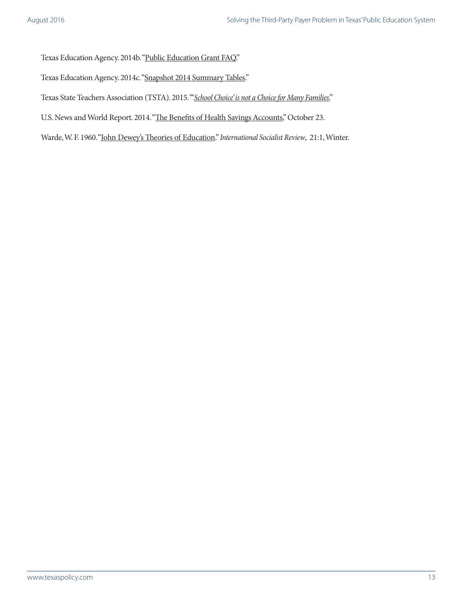Texas Education Agency. 2014b. ["Public Education Grant FAQ](http://ritter.tea.state.tx.us/perfreport/peg_faq.html)."

Texas Education Agency. 2014c. ["Snapshot 2014 Summary Tables](http://ritter.tea.state.tx.us/perfreport/snapshot/2014/state.html)."

Texas State Teachers Association (TSTA). 2015. "'*[School Choice' is not a Choice for Many Families](http://www.tsta.org/grading-texas/vouchers/school-choice-is-not-a-choice-for-many-families)*."

U.S. News and World Report. 2014. ["The Benefits of Health Savings Accounts,](http://health.usnews.com/health-news/health-insurance/articles/2014/10/23/the-benefits-of-health-savings-accounts)" October 23.

Warde, W. F. 1960. "[John Dewey's Theories of Education](https://www.marxists.org/archive/novack/works/1960/x03.htm)." *International Socialist Review*, 21:1, Winter.